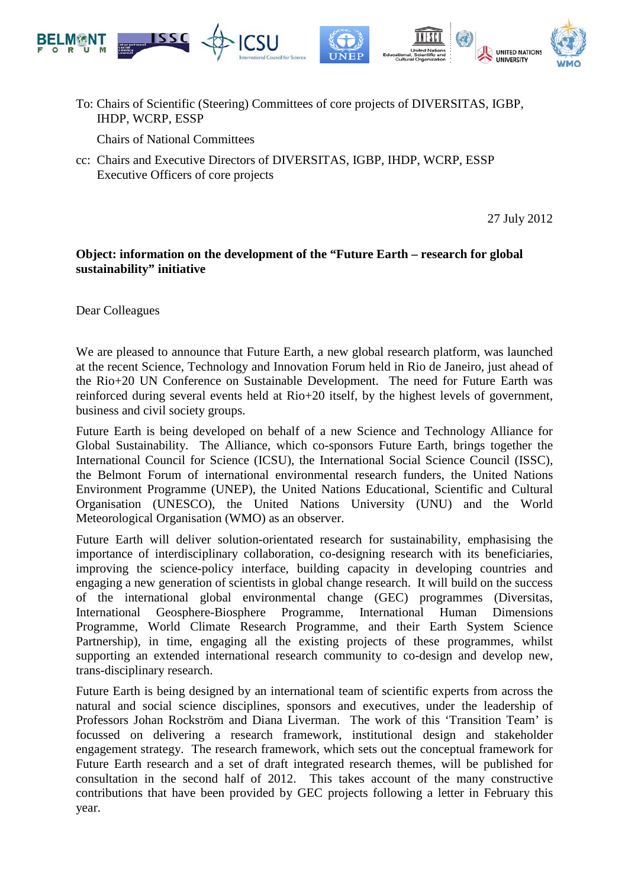

To: Chairs of Scientific (Steering) Committees of core projects of DIVERSITAS, IGBP, IHDP, WCRP, ESSP

Chairs of National Committees

cc: Chairs and Executive Directors of DIVERSITAS, IGBP, IHDP, WCRP, ESSP Executive Officers of core projects

27 July 2012

## **Object: information on the development of the "Future Earth – research for global sustainability" initiative**

Dear Colleagues

We are pleased to announce that Future Earth, a new global research platform, was launched at the recent Science, Technology and Innovation Forum held in Rio de Janeiro, just ahead of the Rio+20 UN Conference on Sustainable Development. The need for Future Earth was reinforced during several events held at Rio+20 itself, by the highest levels of government, business and civil society groups.

Future Earth is being developed on behalf of a new Science and Technology Alliance for Global Sustainability. The Alliance, which co-sponsors Future Earth, brings together the International Council for Science (ICSU), the International Social Science Council (ISSC), the Belmont Forum of international environmental research funders, the United Nations Environment Programme (UNEP), the United Nations Educational, Scientific and Cultural Organisation (UNESCO), the United Nations University (UNU) and the World Meteorological Organisation (WMO) as an observer.

Future Earth will deliver solution-orientated research for sustainability, emphasising the importance of interdisciplinary collaboration, co-designing research with its beneficiaries, improving the science-policy interface, building capacity in developing countries and engaging a new generation of scientists in global change research. It will build on the success of the international global environmental change (GEC) programmes (Diversitas, International Geosphere-Biosphere Programme, International Human Dimensions Programme, World Climate Research Programme, and their Earth System Science Partnership), in time, engaging all the existing projects of these programmes, whilst supporting an extended international research community to co-design and develop new, trans-disciplinary research.

Future Earth is being designed by an international team of scientific experts from across the natural and social science disciplines, sponsors and executives, under the leadership of Professors Johan Rockström and Diana Liverman. The work of this 'Transition Team' is focussed on delivering a research framework, institutional design and stakeholder engagement strategy. The research framework, which sets out the conceptual framework for Future Earth research and a set of draft integrated research themes, will be published for consultation in the second half of 2012. This takes account of the many constructive contributions that have been provided by GEC projects following a letter in February this year.